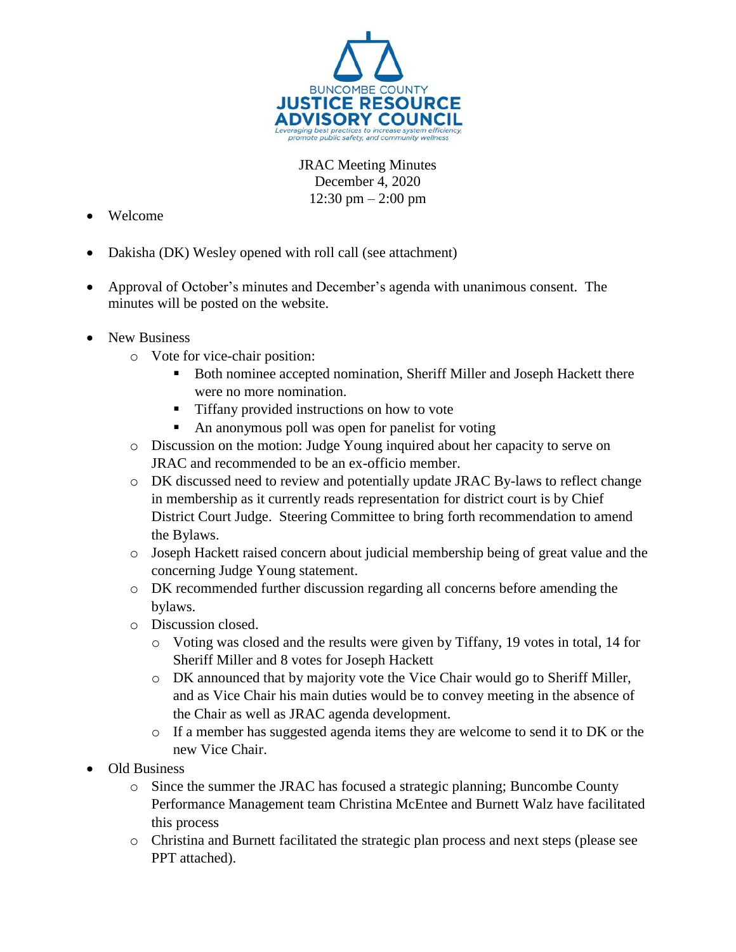

JRAC Meeting Minutes December 4, 2020  $12:30 \text{ pm} - 2:00 \text{ pm}$ 

- Welcome
- Dakisha (DK) Wesley opened with roll call (see attachment)
- Approval of October's minutes and December's agenda with unanimous consent. The minutes will be posted on the website.
- New Business
	- o Vote for vice-chair position:
		- Both nominee accepted nomination, Sheriff Miller and Joseph Hackett there were no more nomination.
		- Tiffany provided instructions on how to vote
		- An anonymous poll was open for panelist for voting
	- o Discussion on the motion: Judge Young inquired about her capacity to serve on JRAC and recommended to be an ex-officio member.
	- o DK discussed need to review and potentially update JRAC By-laws to reflect change in membership as it currently reads representation for district court is by Chief District Court Judge. Steering Committee to bring forth recommendation to amend the Bylaws.
	- o Joseph Hackett raised concern about judicial membership being of great value and the concerning Judge Young statement.
	- o DK recommended further discussion regarding all concerns before amending the bylaws.
	- o Discussion closed.
		- o Voting was closed and the results were given by Tiffany, 19 votes in total, 14 for Sheriff Miller and 8 votes for Joseph Hackett
		- o DK announced that by majority vote the Vice Chair would go to Sheriff Miller, and as Vice Chair his main duties would be to convey meeting in the absence of the Chair as well as JRAC agenda development.
		- $\circ$  If a member has suggested agenda items they are welcome to send it to DK or the new Vice Chair.
- Old Business
	- o Since the summer the JRAC has focused a strategic planning; Buncombe County Performance Management team Christina McEntee and Burnett Walz have facilitated this process
	- o Christina and Burnett facilitated the strategic plan process and next steps (please see PPT attached).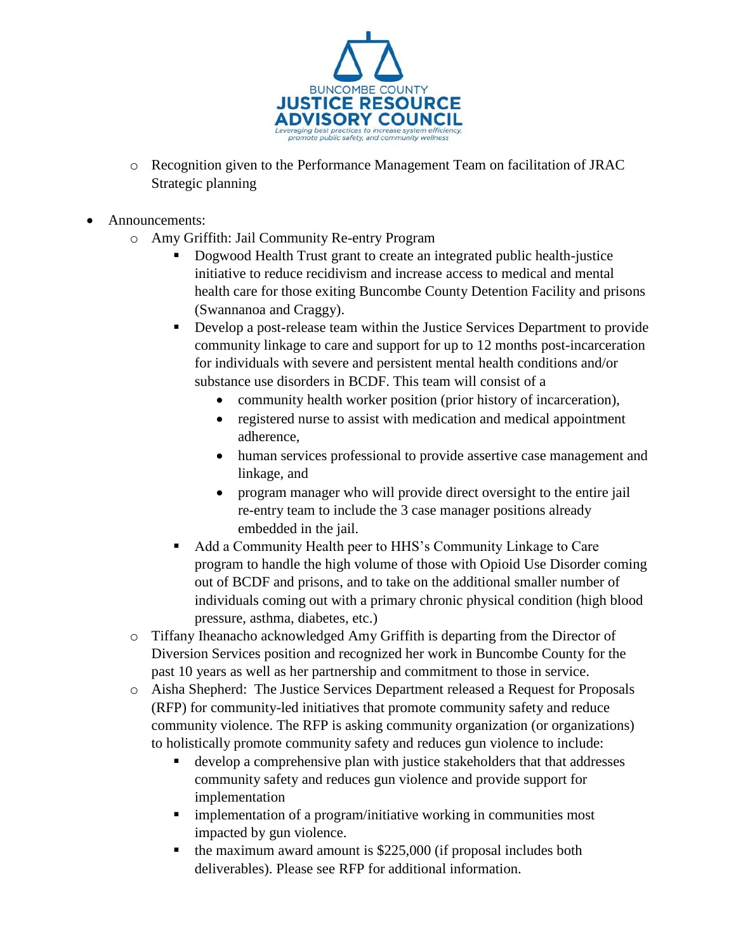

- o Recognition given to the Performance Management Team on facilitation of JRAC Strategic planning
- Announcements:
	- o Amy Griffith: Jail Community Re-entry Program
		- Dogwood Health Trust grant to create an integrated public health-justice initiative to reduce recidivism and increase access to medical and mental health care for those exiting Buncombe County Detention Facility and prisons (Swannanoa and Craggy).
		- Develop a post-release team within the Justice Services Department to provide community linkage to care and support for up to 12 months post-incarceration for individuals with severe and persistent mental health conditions and/or substance use disorders in BCDF. This team will consist of a
			- community health worker position (prior history of incarceration),
			- registered nurse to assist with medication and medical appointment adherence,
			- human services professional to provide assertive case management and linkage, and
			- program manager who will provide direct oversight to the entire jail re-entry team to include the 3 case manager positions already embedded in the jail.
		- Add a Community Health peer to HHS's Community Linkage to Care program to handle the high volume of those with Opioid Use Disorder coming out of BCDF and prisons, and to take on the additional smaller number of individuals coming out with a primary chronic physical condition (high blood pressure, asthma, diabetes, etc.)
	- o Tiffany Iheanacho acknowledged Amy Griffith is departing from the Director of Diversion Services position and recognized her work in Buncombe County for the past 10 years as well as her partnership and commitment to those in service.
	- o Aisha Shepherd: The Justice Services Department released a Request for Proposals (RFP) for community-led initiatives that promote community safety and reduce community violence. The RFP is asking community organization (or organizations) to holistically promote community safety and reduces gun violence to include:
		- develop a comprehensive plan with justice stakeholders that that addresses community safety and reduces gun violence and provide support for implementation
		- **F** implementation of a program/initiative working in communities most impacted by gun violence.
		- $\blacksquare$  the maximum award amount is \$225,000 (if proposal includes both deliverables). Please see RFP for additional information.